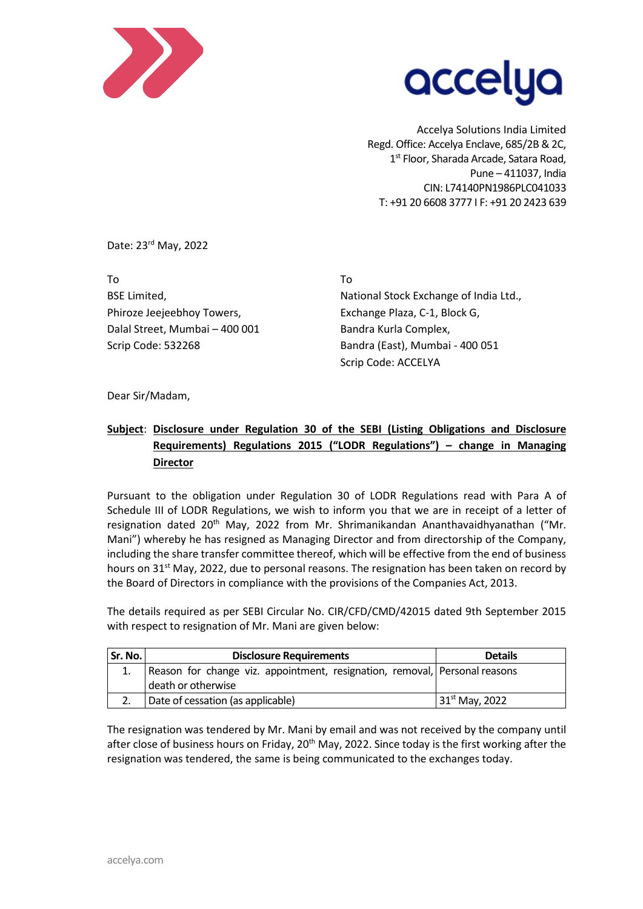



Accelya Solutions India Limited Regd. Office: Accelya Enclave, 685/2B & 2C, 1<sup>st</sup> Floor, Sharada Arcade, Satara Road, Pune – 411037, India CIN: L74140PN1986PLC041033 T: +91 20 6608 3777 I F: +91 20 2423 639

Date: 23rd May, 2022

To To Phiroze Jeejeebhoy Towers, Exchange Plaza, C-1, Block G, Dalal Street, Mumbai – 400 001 Bandra Kurla Complex,

BSE Limited, National Stock Exchange of India Ltd., Scrip Code: 532268 Bandra (East), Mumbai - 400 051 Scrip Code: ACCELYA

Dear Sir/Madam,

## **Subject**: **Disclosure under Regulation 30 of the SEBI (Listing Obligations and Disclosure Requirements) Regulations 2015 ("LODR Regulations") – change in Managing Director**

Pursuant to the obligation under Regulation 30 of LODR Regulations read with Para A of Schedule III of LODR Regulations, we wish to inform you that we are in receipt of a letter of resignation dated 20<sup>th</sup> May, 2022 from Mr. Shrimanikandan Ananthavaidhyanathan ("Mr. Mani") whereby he has resigned as Managing Director and from directorship of the Company, including the share transfer committee thereof, which will be effective from the end of business hours on 31<sup>st</sup> May, 2022, due to personal reasons. The resignation has been taken on record by the Board of Directors in compliance with the provisions of the Companies Act, 2013.

The details required as per SEBI Circular No. CIR/CFD/CMD/42015 dated 9th September 2015 with respect to resignation of Mr. Mani are given below:

| Sr. No. | <b>Disclosure Requirements</b>                                             | <b>Details</b>             |
|---------|----------------------------------------------------------------------------|----------------------------|
|         | Reason for change viz. appointment, resignation, removal, Personal reasons |                            |
|         | death or otherwise                                                         |                            |
|         | Date of cessation (as applicable)                                          | 31 <sup>st</sup> May, 2022 |

The resignation was tendered by Mr. Mani by email and was not received by the company until after close of business hours on Friday, 20<sup>th</sup> May, 2022. Since today is the first working after the resignation was tendered, the same is being communicated to the exchanges today.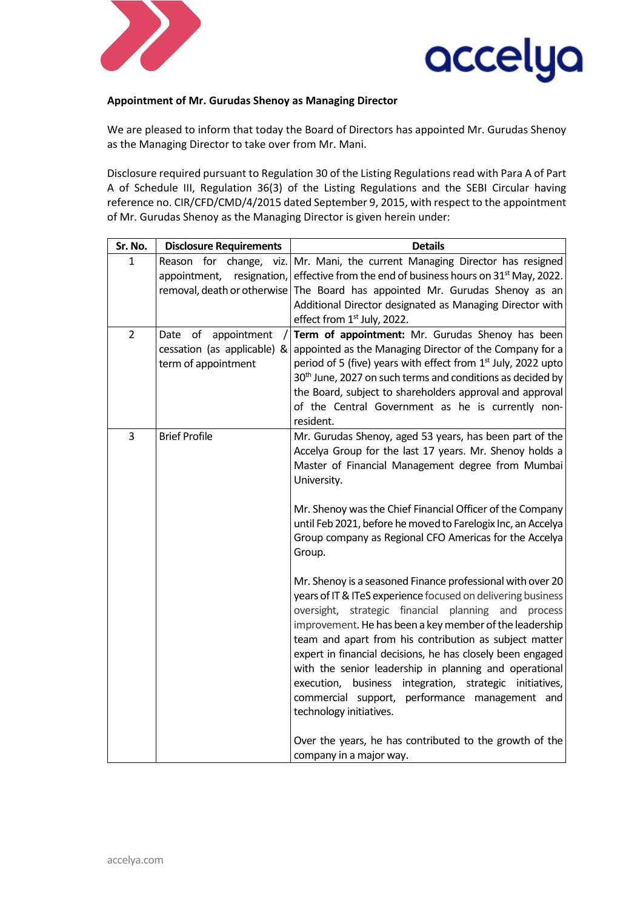



## **Appointment of Mr. Gurudas Shenoy as Managing Director**

We are pleased to inform that today the Board of Directors has appointed Mr. Gurudas Shenoy as the Managing Director to take over from Mr. Mani.

Disclosure required pursuant to Regulation 30 of the Listing Regulations read with Para A of Part A of Schedule III, Regulation 36(3) of the Listing Regulations and the SEBI Circular having reference no. CIR/CFD/CMD/4/2015 dated September 9, 2015, with respect to the appointment of Mr. Gurudas Shenoy as the Managing Director is given herein under:

| Sr. No.        | <b>Disclosure Requirements</b>                                            | <b>Details</b>                                                                                                                                                                                                                                                                                                                                                                                                                                                                                                                                                                                                                                                                                                                         |
|----------------|---------------------------------------------------------------------------|----------------------------------------------------------------------------------------------------------------------------------------------------------------------------------------------------------------------------------------------------------------------------------------------------------------------------------------------------------------------------------------------------------------------------------------------------------------------------------------------------------------------------------------------------------------------------------------------------------------------------------------------------------------------------------------------------------------------------------------|
| 1              | appointment,<br>resignation,                                              | Reason for change, viz.   Mr. Mani, the current Managing Director has resigned<br>effective from the end of business hours on 31 <sup>st</sup> May, 2022.                                                                                                                                                                                                                                                                                                                                                                                                                                                                                                                                                                              |
|                |                                                                           | removal, death or otherwise The Board has appointed Mr. Gurudas Shenoy as an<br>Additional Director designated as Managing Director with<br>effect from 1 <sup>st</sup> July, 2022.                                                                                                                                                                                                                                                                                                                                                                                                                                                                                                                                                    |
| $\overline{2}$ | Date of appointment<br>cessation (as applicable) &<br>term of appointment | Term of appointment: Mr. Gurudas Shenoy has been<br>appointed as the Managing Director of the Company for a<br>period of 5 (five) years with effect from 1 <sup>st</sup> July, 2022 upto<br>30 <sup>th</sup> June, 2027 on such terms and conditions as decided by<br>the Board, subject to shareholders approval and approval<br>of the Central Government as he is currently non-<br>resident.                                                                                                                                                                                                                                                                                                                                       |
| 3              | <b>Brief Profile</b>                                                      | Mr. Gurudas Shenoy, aged 53 years, has been part of the<br>Accelya Group for the last 17 years. Mr. Shenoy holds a<br>Master of Financial Management degree from Mumbai<br>University.<br>Mr. Shenoy was the Chief Financial Officer of the Company<br>until Feb 2021, before he moved to Farelogix Inc, an Accelya                                                                                                                                                                                                                                                                                                                                                                                                                    |
|                |                                                                           | Group company as Regional CFO Americas for the Accelya<br>Group.<br>Mr. Shenoy is a seasoned Finance professional with over 20<br>years of IT & ITeS experience focused on delivering business<br>oversight, strategic financial planning and process<br>improvement. He has been a key member of the leadership<br>team and apart from his contribution as subject matter<br>expert in financial decisions, he has closely been engaged<br>with the senior leadership in planning and operational<br>business<br>integration, strategic initiatives,<br>execution,<br>commercial support, performance management and<br>technology initiatives.<br>Over the years, he has contributed to the growth of the<br>company in a major way. |